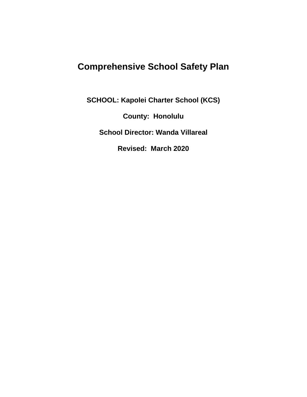# **Comprehensive School Safety Plan**

**SCHOOL: Kapolei Charter School (KCS)**

**County: Honolulu School Director: Wanda Villareal Revised: March 2020**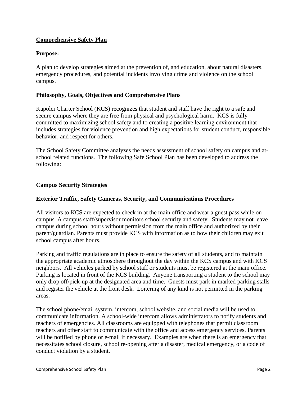## **Comprehensive Safety Plan**

#### **Purpose:**

A plan to develop strategies aimed at the prevention of, and education, about natural disasters, emergency procedures, and potential incidents involving crime and violence on the school campus.

#### **Philosophy, Goals, Objectives and Comprehensive Plans**

Kapolei Charter School (KCS) recognizes that student and staff have the right to a safe and secure campus where they are free from physical and psychological harm. KCS is fully committed to maximizing school safety and to creating a positive learning environment that includes strategies for violence prevention and high expectations for student conduct, responsible behavior, and respect for others.

The School Safety Committee analyzes the needs assessment of school safety on campus and atschool related functions. The following Safe School Plan has been developed to address the following:

#### **Campus Security Strategies**

#### **Exterior Traffic, Safety Cameras, Security, and Communications Procedures**

All visitors to KCS are expected to check in at the main office and wear a guest pass while on campus. A campus staff/supervisor monitors school security and safety. Students may not leave campus during school hours without permission from the main office and authorized by their parent/guardian. Parents must provide KCS with information as to how their children may exit school campus after hours.

Parking and traffic regulations are in place to ensure the safety of all students, and to maintain the appropriate academic atmosphere throughout the day within the KCS campus and with KCS neighbors. All vehicles parked by school staff or students must be registered at the main office. Parking is located in front of the KCS building. Anyone transporting a student to the school may only drop off/pick-up at the designated area and time. Guests must park in marked parking stalls and register the vehicle at the front desk. Loitering of any kind is not permitted in the parking areas.

The school phone/email system, intercom, school website, and social media will be used to communicate information. A school-wide intercom allows administrators to notify students and teachers of emergencies. All classrooms are equipped with telephones that permit classroom teachers and other staff to communicate with the office and access emergency services. Parents will be notified by phone or e-mail if necessary. Examples are when there is an emergency that necessitates school closure, school re-opening after a disaster, medical emergency, or a code of conduct violation by a student.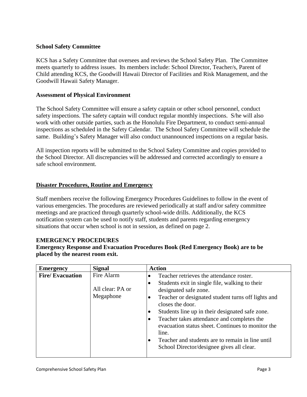#### **School Safety Committee**

KCS has a Safety Committee that oversees and reviews the School Safety Plan. The Committee meets quarterly to address issues. Its members include: School Director, Teacher/s, Parent of Child attending KCS, the Goodwill Hawaii Director of Facilities and Risk Management, and the Goodwill Hawaii Safety Manager.

#### **Assessment of Physical Environment**

The School Safety Committee will ensure a safety captain or other school personnel, conduct safety inspections. The safety captain will conduct regular monthly inspections. S/he will also work with other outside parties, such as the Honolulu Fire Department, to conduct semi-annual inspections as scheduled in the Safety Calendar. The School Safety Committee will schedule the same. Building's Safety Manager will also conduct unannounced inspections on a regular basis.

All inspection reports will be submitted to the School Safety Committee and copies provided to the School Director. All discrepancies will be addressed and corrected accordingly to ensure a safe school environment.

## **Disaster Procedures, Routine and Emergency**

Staff members receive the following Emergency Procedures Guidelines to follow in the event of various emergencies. The procedures are reviewed periodically at staff and/or safety committee meetings and are practiced through quarterly school-wide drills. Additionally, the KCS notification system can be used to notify staff, students and parents regarding emergency situations that occur when school is not in session, as defined on page 2.

#### **EMERGENCY PROCEDURES**

**Emergency Response and Evacuation Procedures Book (Red Emergency Book) are to be placed by the nearest room exit.**

| <b>Emergency</b>       | <b>Signal</b>                               | <b>Action</b>                                                                                                                                                                                                                                                                                                                                                                                                                                                 |
|------------------------|---------------------------------------------|---------------------------------------------------------------------------------------------------------------------------------------------------------------------------------------------------------------------------------------------------------------------------------------------------------------------------------------------------------------------------------------------------------------------------------------------------------------|
| <b>Fire/Evacuation</b> | Fire Alarm<br>All clear: PA or<br>Megaphone | Teacher retrieves the attendance roster.<br>Students exit in single file, walking to their<br>designated safe zone.<br>Teacher or designated student turns off lights and<br>closes the door.<br>Students line up in their designated safe zone.<br>Teacher takes attendance and completes the<br>evacuation status sheet. Continues to monitor the<br>line.<br>Teacher and students are to remain in line until<br>School Director/designee gives all clear. |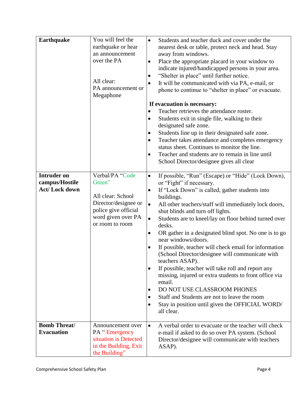| <b>Earthquake</b><br><b>Intruder on</b><br>campus/Hostile<br><b>Act/Lock down</b> | You will feel the<br>earthquake or hear<br>an announcement<br>over the PA<br>All clear:<br>PA announcement or<br>Megaphone<br>Verbal/PA "Code<br>Green"<br>All clear: School<br>Director/designee or<br>police give official<br>word given over PA<br>or room to room | Students and teacher duck and cover under the<br>$\bullet$<br>nearest desk or table, protect neck and head. Stay<br>away from windows.<br>Place the appropriate placard in your window to<br>$\bullet$<br>indicate injured/handicapped persons in your area.<br>"Shelter in place" until further notice.<br>$\bullet$<br>It will be communicated with via PA, e-mail, or<br>$\bullet$<br>phone to continue to "shelter in place" or evacuate.<br>If evacuation is necessary:<br>Teacher retrieves the attendance roster.<br>$\bullet$<br>Students exit in single file, walking to their<br>$\bullet$<br>designated safe zone.<br>Students line up in their designated safe zone.<br>$\bullet$<br>Teacher takes attendance and completes emergency<br>$\bullet$<br>status sheet. Continues to monitor the line.<br>Teacher and students are to remain in line until<br>$\bullet$<br>School Director/designee gives all clear<br>If possible, "Run" (Escape) or "Hide" (Lock Down),<br>$\bullet$<br>or "Fight" if necessary.<br>If "Lock Down" is called, gather students into<br>$\bullet$<br>buildings.<br>All other teachers/staff will immediately lock doors,<br>$\bullet$<br>shut blinds and turn off lights.<br>Students are to kneel/lay on floor behind turned over<br>$\bullet$<br>desks.<br>OR gather in a designated blind spot. No one is to go<br>$\bullet$<br>near windows/doors.<br>If possible, teacher will check email for information<br>$\bullet$<br>(School Director/designee will communicate with<br>teachers ASAP).<br>If possible, teacher will take roll and report any<br>$\bullet$<br>missing, injured or extra students to front office via<br>email.<br>DO NOT USE CLASSROOM PHONES<br>$\bullet$<br>Staff and Students are not to leave the room<br>$\bullet$ |
|-----------------------------------------------------------------------------------|-----------------------------------------------------------------------------------------------------------------------------------------------------------------------------------------------------------------------------------------------------------------------|--------------------------------------------------------------------------------------------------------------------------------------------------------------------------------------------------------------------------------------------------------------------------------------------------------------------------------------------------------------------------------------------------------------------------------------------------------------------------------------------------------------------------------------------------------------------------------------------------------------------------------------------------------------------------------------------------------------------------------------------------------------------------------------------------------------------------------------------------------------------------------------------------------------------------------------------------------------------------------------------------------------------------------------------------------------------------------------------------------------------------------------------------------------------------------------------------------------------------------------------------------------------------------------------------------------------------------------------------------------------------------------------------------------------------------------------------------------------------------------------------------------------------------------------------------------------------------------------------------------------------------------------------------------------------------------------------------------------------------------------------------------------------------------------|
|                                                                                   |                                                                                                                                                                                                                                                                       | Stay in position until given the OFFICIAL WORD/<br>all clear.                                                                                                                                                                                                                                                                                                                                                                                                                                                                                                                                                                                                                                                                                                                                                                                                                                                                                                                                                                                                                                                                                                                                                                                                                                                                                                                                                                                                                                                                                                                                                                                                                                                                                                                              |
| <b>Bomb Threat/</b><br><b>Evacuation</b>                                          | Announcement over<br>PA "Emergency<br>situation is Detected<br>in the Building, Exit<br>the Building"                                                                                                                                                                 | A verbal order to evacuate or the teacher will check<br>$\bullet$<br>e-mail if asked to do so over PA system. (School<br>Director/designee will communicate with teachers<br>ASAP).                                                                                                                                                                                                                                                                                                                                                                                                                                                                                                                                                                                                                                                                                                                                                                                                                                                                                                                                                                                                                                                                                                                                                                                                                                                                                                                                                                                                                                                                                                                                                                                                        |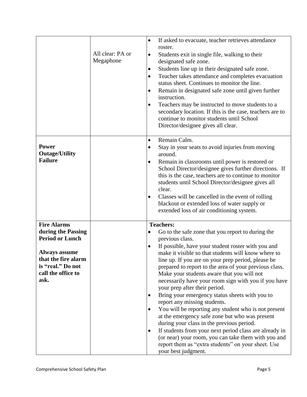|                                                                                                                                                                      | All clear: PA or<br>Megaphone | If asked to evacuate, teacher retrieves attendance<br>$\bullet$<br>roster.<br>Students exit in single file, walking to their<br>$\bullet$<br>designated safe zone.<br>Students line up in their designated safe zone.<br>٠<br>Teacher takes attendance and completes evacuation<br>status sheet. Continues to monitor the line.<br>Remain in designated safe zone until given further<br>$\bullet$<br>instruction.<br>Teachers may be instructed to move students to a<br>٠<br>secondary location. If this is the case, teachers are to<br>continue to monitor students until School<br>Director/designee gives all clear.                                                                                                                                                                                                                                                                                                         |
|----------------------------------------------------------------------------------------------------------------------------------------------------------------------|-------------------------------|------------------------------------------------------------------------------------------------------------------------------------------------------------------------------------------------------------------------------------------------------------------------------------------------------------------------------------------------------------------------------------------------------------------------------------------------------------------------------------------------------------------------------------------------------------------------------------------------------------------------------------------------------------------------------------------------------------------------------------------------------------------------------------------------------------------------------------------------------------------------------------------------------------------------------------|
| <b>Power</b><br><b>Outage/Utility</b><br><b>Failure</b>                                                                                                              |                               | Remain Calm.<br>$\bullet$<br>Stay in your seats to avoid injuries from moving<br>around.<br>Remain in classrooms until power is restored or<br>$\bullet$<br>School Director/designee gives further directions. If<br>this is the case, teachers are to continue to monitor<br>students until School Director/designee gives all<br>clear.<br>Classes will be cancelled in the event of rolling<br>$\bullet$<br>blackout or extended loss of water supply or<br>extended loss of air conditioning system.                                                                                                                                                                                                                                                                                                                                                                                                                           |
| <b>Fire Alarms</b><br>during the Passing<br><b>Period or Lunch</b><br><b>Always assume</b><br>that the fire alarm<br>is "real." Do not<br>call the office to<br>ask. |                               | <b>Teachers:</b><br>Go to the safe zone that you report to during the<br>previous class.<br>If possible, have your student roster with you and<br>$\bullet$<br>make it visible so that students will know where to<br>line up. If you are on your prep period, please be<br>prepared to report to the area of your previous class.<br>Make your students aware that you will not<br>necessarily have your room sign with you if you have<br>your prep after their period.<br>Bring your emergency status sheets with you to<br>$\bullet$<br>report any missing students.<br>You will be reporting any student who is not present<br>٠<br>at the emergency safe zone but who was present<br>during your class in the previous period.<br>If students from your next period class are already in<br>(or near) your room, you can take them with you and<br>report them as "extra students" on your sheet. Use<br>your best judgment. |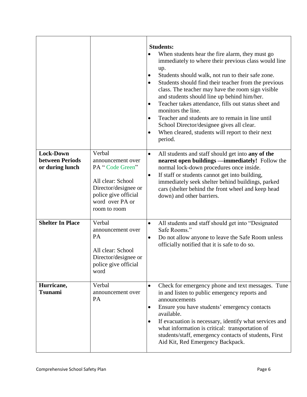|                                                        |                                                                                                                                                        | <b>Students:</b><br>When students hear the fire alarm, they must go<br>immediately to where their previous class would line<br>up.<br>Students should walk, not run to their safe zone.<br>Students should find their teacher from the previous<br>$\bullet$<br>class. The teacher may have the room sign visible<br>and students should line up behind him/her.<br>Teacher takes attendance, fills out status sheet and<br>$\bullet$<br>monitors the line.<br>Teacher and students are to remain in line until<br>$\bullet$<br>School Director/designee gives all clear.<br>When cleared, students will report to their next<br>period. |
|--------------------------------------------------------|--------------------------------------------------------------------------------------------------------------------------------------------------------|------------------------------------------------------------------------------------------------------------------------------------------------------------------------------------------------------------------------------------------------------------------------------------------------------------------------------------------------------------------------------------------------------------------------------------------------------------------------------------------------------------------------------------------------------------------------------------------------------------------------------------------|
| <b>Lock-Down</b><br>between Periods<br>or during lunch | Verbal<br>announcement over<br>PA "Code Green"<br>All clear: School<br>Director/designee or<br>police give official<br>word over PA or<br>room to room | All students and staff should get into any of the<br>$\bullet$<br>nearest open buildings —immediately! Follow the<br>normal lock-down procedures once inside.<br>If staff or students cannot get into building,<br>$\bullet$<br>immediately seek shelter behind buildings, parked<br>cars (shelter behind the front wheel and keep head<br>down) and other barriers.                                                                                                                                                                                                                                                                     |
| <b>Shelter In Place</b>                                | Verbal<br>announcement over<br><b>PA</b><br>All clear: School<br>Director/designee or<br>police give official<br>word                                  | All students and staff should get into "Designated<br>٠<br>Safe Rooms."<br>Do not allow anyone to leave the Safe Room unless<br>٠<br>officially notified that it is safe to do so.                                                                                                                                                                                                                                                                                                                                                                                                                                                       |
| Hurricane,<br><b>Tsunami</b>                           | Verbal<br>announcement over<br><b>PA</b>                                                                                                               | Check for emergency phone and text messages. Tune<br>$\bullet$<br>in and listen to public emergency reports and<br>announcements<br>Ensure you have students' emergency contacts<br>٠<br>available.<br>If evacuation is necessary, identify what services and<br>٠<br>what information is critical: transportation of<br>students/staff, emergency contacts of students, First<br>Aid Kit, Red Emergency Backpack.                                                                                                                                                                                                                       |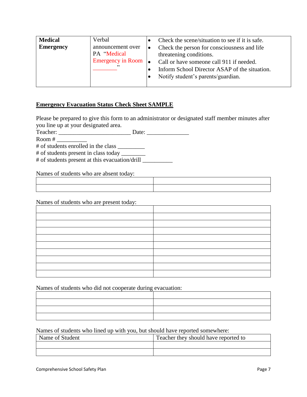| <b>Medical</b><br><b>Emergency</b> | Verbal<br>announcement over<br>PA "Medical<br><b>Emergency in Room</b><br>,, | Check the scene/situation to see if it is safe.<br>Check the person for consciousness and life<br>threatening conditions.<br>Call or have someone call 911 if needed.<br>Inform School Director ASAP of the situation.<br>Notify student's parents/guardian.<br>$\bullet$ |
|------------------------------------|------------------------------------------------------------------------------|---------------------------------------------------------------------------------------------------------------------------------------------------------------------------------------------------------------------------------------------------------------------------|
|------------------------------------|------------------------------------------------------------------------------|---------------------------------------------------------------------------------------------------------------------------------------------------------------------------------------------------------------------------------------------------------------------------|

## **Emergency Evacuation Status Check Sheet SAMPLE**

Please be prepared to give this form to an administrator or designated staff member minutes after you line up at your designated area.

Teacher: \_\_\_\_\_\_\_\_\_\_\_\_\_\_\_\_\_\_\_\_\_\_\_\_ Date: \_\_\_\_\_\_\_\_\_\_\_\_\_\_

Room  $\#$ 

# of students enrolled in the class \_\_\_\_\_\_\_\_\_

# of students present in class today \_\_\_\_\_\_\_\_

# of students present at this evacuation/drill \_\_\_\_\_\_\_\_\_\_

Names of students who are absent today:

| and the contract of the contract of the contract of the contract of the contract of the contract of the contract of |  |
|---------------------------------------------------------------------------------------------------------------------|--|

Names of students who are present today:

Names of students who did not cooperate during evacuation:

Names of students who lined up with you, but should have reported somewhere:

| Name of Student | Teacher they should have reported to |
|-----------------|--------------------------------------|
|                 |                                      |
|                 |                                      |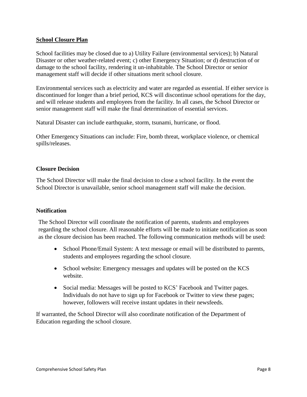#### **School Closure Plan**

School facilities may be closed due to a) Utility Failure (environmental services); b) Natural Disaster or other weather-related event; c) other Emergency Situation; or d) destruction of or damage to the school facility, rendering it un-inhabitable. The School Director or senior management staff will decide if other situations merit school closure.

Environmental services such as electricity and water are regarded as essential. If either service is discontinued for longer than a brief period, KCS will discontinue school operations for the day, and will release students and employees from the facility. In all cases, the School Director or senior management staff will make the final determination of essential services.

Natural Disaster can include earthquake, storm, tsunami, hurricane, or flood.

Other Emergency Situations can include: Fire, bomb threat, workplace violence, or chemical spills/releases.

#### **Closure Decision**

The School Director will make the final decision to close a school facility. In the event the School Director is unavailable, senior school management staff will make the decision.

## **Notification**

The School Director will coordinate the notification of parents, students and employees regarding the school closure. All reasonable efforts will be made to initiate notification as soon as the closure decision has been reached. The following communication methods will be used:

- School Phone/Email System: A text message or email will be distributed to parents, students and employees regarding the school closure.
- School website: Emergency messages and updates will be posted on the KCS website.
- Social media: Messages will be posted to KCS' Facebook and Twitter pages. Individuals do not have to sign up for Facebook or Twitter to view these pages; however, followers will receive instant updates in their newsfeeds.

If warranted, the School Director will also coordinate notification of the Department of Education regarding the school closure.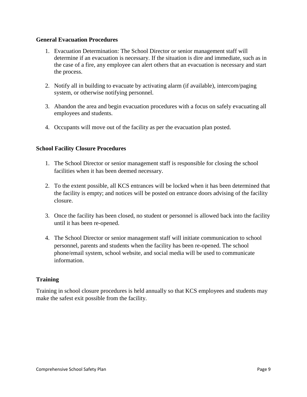#### **General Evacuation Procedures**

- 1. Evacuation Determination: The School Director or senior management staff will determine if an evacuation is necessary. If the situation is dire and immediate, such as in the case of a fire, any employee can alert others that an evacuation is necessary and start the process.
- 2. Notify all in building to evacuate by activating alarm (if available), intercom/paging system, or otherwise notifying personnel.
- 3. Abandon the area and begin evacuation procedures with a focus on safely evacuating all employees and students.
- 4. Occupants will move out of the facility as per the evacuation plan posted.

## **School Facility Closure Procedures**

- 1. The School Director or senior management staff is responsible for closing the school facilities when it has been deemed necessary.
- 2. To the extent possible, all KCS entrances will be locked when it has been determined that the facility is empty; and notices will be posted on entrance doors advising of the facility closure.
- 3. Once the facility has been closed, no student or personnel is allowed back into the facility until it has been re-opened.
- 4. The School Director or senior management staff will initiate communication to school personnel, parents and students when the facility has been re-opened. The school phone/email system, school website, and social media will be used to communicate information.

## **Training**

Training in school closure procedures is held annually so that KCS employees and students may make the safest exit possible from the facility.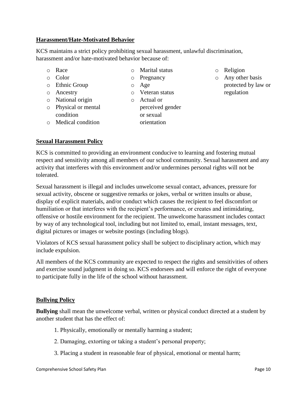## **Harassment/Hate-Motivated Behavior**

KCS maintains a strict policy prohibiting sexual harassment, unlawful discrimination, harassment and/or hate-motivated behavior because of:

- o Race
- o Color
- o Ethnic Group
- o Ancestry
- o National origin
- o Physical or mental condition
- o Medical condition
- o Marital status
- o Pregnancy
- o Age
- o Veteran status o Actual or
	- perceived gender or sexual orientation
- o Religion
- o Any other basis protected by law or regulation

## **Sexual Harassment Policy**

KCS is committed to providing an environment conducive to learning and fostering mutual respect and sensitivity among all members of our school community. Sexual harassment and any activity that interferes with this environment and/or undermines personal rights will not be tolerated.

Sexual harassment is illegal and includes unwelcome sexual contact, advances, pressure for sexual activity, obscene or suggestive remarks or jokes, verbal or written insults or abuse, display of explicit materials, and/or conduct which causes the recipient to feel discomfort or humiliation or that interferes with the recipient's performance, or creates and intimidating, offensive or hostile environment for the recipient. The unwelcome harassment includes contact by way of any technological tool, including but not limited to, email, instant messages, text, digital pictures or images or website postings (including blogs).

Violators of KCS sexual harassment policy shall be subject to disciplinary action, which may include expulsion.

All members of the KCS community are expected to respect the rights and sensitivities of others and exercise sound judgment in doing so. KCS endorsees and will enforce the right of everyone to participate fully in the life of the school without harassment.

#### **Bullying Policy**

**Bullying** shall mean the unwelcome verbal, written or physical conduct directed at a student by another student that has the effect of:

- 1. Physically, emotionally or mentally harming a student;
- 2. Damaging, extorting or taking a student's personal property;
- 3. Placing a student in reasonable fear of physical, emotional or mental harm;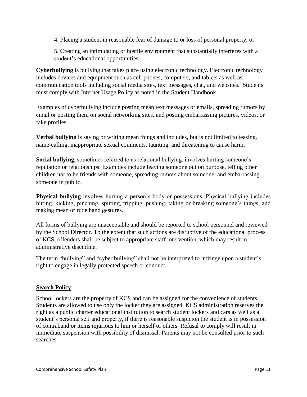4. Placing a student in reasonable fear of damage to or loss of personal property; or

5. Creating an intimidating or hostile environment that substantially interferes with a student's educational opportunities.

**Cyberbullying** is bullying that takes place using electronic technology. Electronic technology includes devices and equipment such as cell phones, computers, and tablets as well as communication tools including social media sites, text messages, chat, and websites. Students must comply with Internet Usage Policy as noted in the Student Handbook.

Examples of cyberbullying include posting mean text messages or emails, spreading rumors by email or posting them on social networking sites, and posting embarrassing pictures, videos, or fake profiles.

**Verbal bullying** is saying or writing mean things and includes, but is not limited to teasing, name-calling, inappropriate sexual comments, taunting, and threatening to cause harm.

**Social bullying**, sometimes referred to as relational bullying, involves hurting someone's reputation or relationships. Examples include leaving someone out on purpose, telling other children not to be friends with someone, spreading rumors about someone, and embarrassing someone in public.

**Physical bullying** involves hurting a person's body or possessions. Physical bullying includes hitting, kicking, pinching, spitting, tripping, pushing, taking or breaking someone's things, and making mean or rude hand gestures.

All forms of bullying are unacceptable and should be reported to school personnel and reviewed by the School Director. To the extent that such actions are disruptive of the educational process of KCS, offenders shall be subject to appropriate staff intervention, which may result in administrative discipline.

The term "bullying" and "cyber bullying" shall not be interpreted to infringe upon a student's right to engage in legally protected speech or conduct.

## **Search Policy**

School lockers are the property of KCS and can be assigned for the convenience of students. Students are allowed to use only the locker they are assigned. KCS administration reserves the right as a public charter educational institution to search student lockers and cars as well as a student's personal self and property, if there is reasonable suspicion the student is in possession of contraband or items injurious to him or herself or others. Refusal to comply will result in immediate suspension with possibility of dismissal. Parents may not be consulted prior to such searches.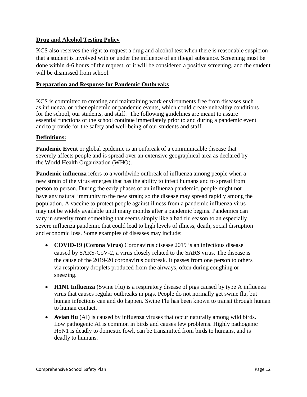## **Drug and Alcohol Testing Policy**

KCS also reserves the right to request a drug and alcohol test when there is reasonable suspicion that a student is involved with or under the influence of an illegal substance. Screening must be done within 4-6 hours of the request, or it will be considered a positive screening, and the student will be dismissed from school.

#### **Preparation and Response for Pandemic Outbreaks**

KCS is committed to creating and maintaining work environments free from diseases such as influenza, or other epidemic or pandemic events, which could create unhealthy conditions for the school, our students, and staff. The following guidelines are meant to assure essential functions of the school continue immediately prior to and during a pandemic event and to provide for the safety and well-being of our students and staff.

#### **Definitions:**

**Pandemic Event** or global epidemic is an outbreak of a communicable disease that severely affects people and is spread over an extensive geographical area as declared by the World Health Organization (WHO).

**Pandemic influenza** refers to a worldwide outbreak of influenza among people when a new strain of the virus emerges that has the ability to infect humans and to spread from person to person. During the early phases of an influenza pandemic, people might not have any natural immunity to the new strain; so the disease may spread rapidly among the population. A vaccine to protect people against illness from a pandemic influenza virus may not be widely available until many months after a pandemic begins. Pandemics can vary in severity from something that seems simply like a bad flu season to an especially severe influenza pandemic that could lead to high levels of illness, death, social disruption and economic loss. Some examples of diseases may include:

- **COVID-19 (Corona Virus)** Coronavirus disease 2019 is an infectious disease caused by SARS-CoV-2, a virus closely related to the SARS virus. The disease is the cause of the 2019-20 coronavirus outbreak. It passes from one person to others via respiratory droplets produced from the airways, often during coughing or sneezing.
- **H1N1 Influenza** (Swine Flu) is a respiratory disease of pigs caused by type A influenza virus that causes regular outbreaks in pigs. People do not normally get swine flu, but human infections can and do happen. Swine Flu has been known to transit through human to human contact.
- **Avian flu** (AI) is caused by influenza viruses that occur naturally among wild birds. Low pathogenic AI is common in birds and causes few problems. Highly pathogenic H5N1 is deadly to domestic fowl, can be transmitted from birds to humans, and is deadly to humans.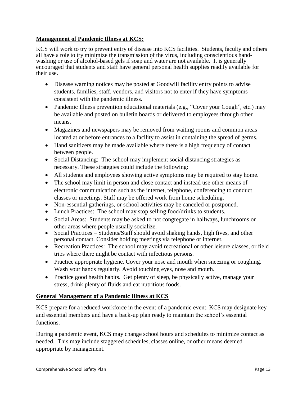## **Management of Pandemic Illness at KCS:**

KCS will work to try to prevent entry of disease into KCS facilities. Students, faculty and others all have a role to try minimize the transmission of the virus, including conscientious handwashing or use of alcohol-based gels if soap and water are not available. It is generally encouraged that students and staff have general personal health supplies readily available for their use.

- Disease warning notices may be posted at Goodwill facility entry points to advise students, families, staff, vendors, and visitors not to enter if they have symptoms consistent with the pandemic illness.
- Pandemic Illness prevention educational materials (e.g., "Cover your Cough", etc.) may be available and posted on bulletin boards or delivered to employees through other means.
- Magazines and newspapers may be removed from waiting rooms and common areas located at or before entrances to a facility to assist in containing the spread of germs.
- Hand sanitizers may be made available where there is a high frequency of contact between people.
- Social Distancing: The school may implement social distancing strategies as necessary. These strategies could include the following:
- All students and employees showing active symptoms may be required to stay home.
- The school may limit in person and close contact and instead use other means of electronic communication such as the internet, telephone, conferencing to conduct classes or meetings. Staff may be offered work from home scheduling.
- Non-essential gatherings, or school activities may be canceled or postponed.
- Lunch Practices: The school may stop selling food/drinks to students.
- Social Areas: Students may be asked to not congregate in hallways, lunchrooms or other areas where people usually socialize.
- Social Practices Students/Staff should avoid shaking hands, high fives, and other personal contact. Consider holding meetings via telephone or internet.
- Recreation Practices: The school may avoid recreational or other leisure classes, or field trips where there might be contact with infectious persons.
- Practice appropriate hygiene. Cover your nose and mouth when sneezing or coughing. Wash your hands regularly. Avoid touching eyes, nose and mouth.
- Practice good health habits. Get plenty of sleep, be physically active, manage your stress, drink plenty of fluids and eat nutritious foods.

## **General Management of a Pandemic Illness at KCS**

KCS prepare for a reduced workforce in the event of a pandemic event. KCS may designate key and essential members and have a back-up plan ready to maintain the school's essential functions.

During a pandemic event, KCS may change school hours and schedules to minimize contact as needed. This may include staggered schedules, classes online, or other means deemed appropriate by management.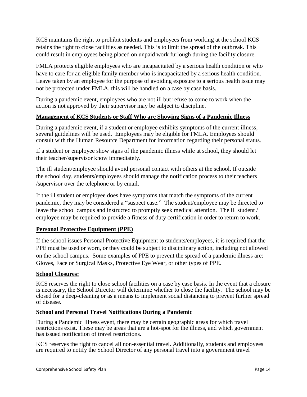KCS maintains the right to prohibit students and employees from working at the school KCS retains the right to close facilities as needed. This is to limit the spread of the outbreak. This could result in employees being placed on unpaid work furlough during the facility closure.

FMLA protects eligible employees who are incapacitated by a serious health condition or who have to care for an eligible family member who is incapacitated by a serious health condition. Leave taken by an employee for the purpose of avoiding exposure to a serious health issue may not be protected under FMLA, this will be handled on a case by case basis.

During a pandemic event, employees who are not ill but refuse to come to work when the action is not approved by their supervisor may be subject to discipline.

#### **Management of KCS Students or Staff Who are Showing Signs of a Pandemic Illness**

During a pandemic event, if a student or employee exhibits symptoms of the current illness, several guidelines will be used. Employees may be eligible for FMLA. Employees should consult with the Human Resource Department for information regarding their personal status.

If a student or employee show signs of the pandemic illness while at school, they should let their teacher/supervisor know immediately.

The ill student/employee should avoid personal contact with others at the school. If outside the school day, students/employees should manage the notification process to their teachers /supervisor over the telephone or by email.

If the ill student or employee does have symptoms that match the symptoms of the current pandemic, they may be considered a "suspect case." The student/employee may be directed to leave the school campus and instructed to promptly seek medical attention. The ill student / employee may be required to provide a fitness of duty certification in order to return to work.

## **Personal Protective Equipment (PPE)**

If the school issues Personal Protective Equipment to students/employees, it is required that the PPE must be used or worn, or they could be subject to disciplinary action, including not allowed on the school campus. Some examples of PPE to prevent the spread of a pandemic illness are: Gloves, Face or Surgical Masks, Protective Eye Wear, or other types of PPE.

## **School Closures:**

KCS reserves the right to close school facilities on a case by case basis. In the event that a closure is necessary, the School Director will determine whether to close the facility. The school may be closed for a deep-cleaning or as a means to implement social distancing to prevent further spread of disease.

#### **School and Personal Travel Notifications During a Pandemic**

During a Pandemic Illness event, there may be certain geographic areas for which travel restrictions exist. These may be areas that are a hot-spot for the illness, and which government has issued notification of travel restrictions.

KCS reserves the right to cancel all non-essential travel. Additionally, students and employees are required to notify the School Director of any personal travel into a government travel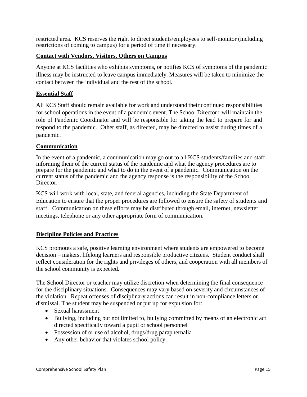restricted area. KCS reserves the right to direct students/employees to self-monitor (including restrictions of coming to campus) for a period of time if necessary.

## **Contact with Vendors, Visitors, Others on Campus**

Anyone at KCS facilities who exhibits symptoms, or notifies KCS of symptoms of the pandemic illness may be instructed to leave campus immediately. Measures will be taken to minimize the contact between the individual and the rest of the school.

## **Essential Staff**

All KCS Staff should remain available for work and understand their continued responsibilities for school operations in the event of a pandemic event. The School Director r will maintain the role of Pandemic Coordinator and will be responsible for taking the lead to prepare for and respond to the pandemic. Other staff, as directed, may be directed to assist during times of a pandemic.

#### **Communication**

In the event of a pandemic, a communication may go out to all KCS students/families and staff informing them of the current status of the pandemic and what the agency procedures are to prepare for the pandemic and what to do in the event of a pandemic. Communication on the current status of the pandemic and the agency response is the responsibility of the School Director.

KCS will work with local, state, and federal agencies, including the State Department of Education to ensure that the proper procedures are followed to ensure the safety of students and staff. Communication on these efforts may be distributed through email, internet, newsletter, meetings, telephone or any other appropriate form of communication.

## **Discipline Policies and Practices**

KCS promotes a safe, positive learning environment where students are empowered to become decision – makers, lifelong learners and responsible productive citizens. Student conduct shall reflect consideration for the rights and privileges of others, and cooperation with all members of the school community is expected.

The School Director or teacher may utilize discretion when determining the final consequence for the disciplinary situations. Consequences may vary based on severity and circumstances of the violation. Repeat offenses of disciplinary actions can result in non-compliance letters or dismissal. The student may be suspended or put up for expulsion for:

- Sexual harassment
- Bullying, including but not limited to, bullying committed by means of an electronic act directed specifically toward a pupil or school personnel
- Possession of or use of alcohol, drugs/drug paraphernalia
- Any other behavior that violates school policy.